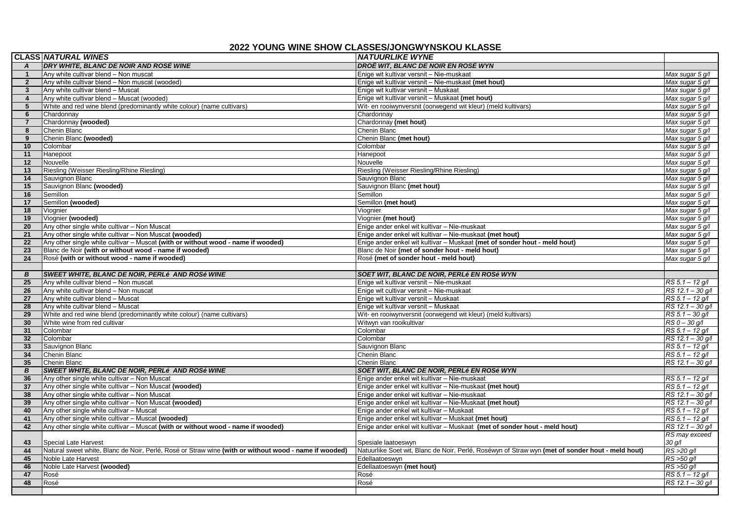## **2022 YOUNG WINE SHOW CLASSES/JONGWYNSKOU KLASSE**

|                 | <b>CLASS NATURAL WINES</b>                                                                            | <b>NATUURLIKE WYNE</b>                                                                           |                       |
|-----------------|-------------------------------------------------------------------------------------------------------|--------------------------------------------------------------------------------------------------|-----------------------|
| $\mathsf{A}$    | <b>DRY WHITE, BLANC DE NOIR AND ROSÉ WINE</b>                                                         | DROË WIT, BLANC DE NOIR EN ROSÉ WYN                                                              |                       |
| $\mathbf{1}$    | Any white cultivar blend - Non muscat                                                                 | Enige wit kultivar versnit - Nie-muskaat                                                         | Max sugar 5 g/l       |
| $\overline{2}$  | Any white cultivar blend - Non muscat (wooded)                                                        | Enige wit kultivar versnit - Nie-muskaat (met hout)                                              | Max sugar 5 g/l       |
| $\mathbf{3}$    | Any white cultivar blend - Muscat                                                                     | Enige wit kultivar versnit - Muskaat                                                             | Max sugar 5 g/l       |
| $\overline{4}$  | Any white cultivar blend - Muscat (wooded)                                                            | Enige wit kultivar versnit - Muskaat (met hout)                                                  | Max sugar 5 g/l       |
| 5               | White and red wine blend (predominantly white colour) (name cultivars)                                | Wit- en rooiwynversnit (oorwegend wit kleur) (meld kultivars)                                    | Max sugar 5 g/l       |
| 6               | Chardonnay                                                                                            | Chardonnay                                                                                       | Max sugar 5 g/l       |
| $\overline{7}$  | Chardonnay (wooded)                                                                                   | Chardonnay (met hout)                                                                            | Max sugar 5 g/l       |
| 8               | Chenin Blanc                                                                                          | Chenin Blanc                                                                                     | Max sugar 5 g/l       |
| 9               | Chenin Blanc (wooded)                                                                                 | Chenin Blanc (met hout)                                                                          | Max sugar 5 g/l       |
| 10              | Colombar                                                                                              | Colombar                                                                                         | Max sugar 5 g/l       |
| 11              | Hanepoot                                                                                              | Hanepoot                                                                                         | Max sugar 5 g/l       |
| 12              | Nouvelle                                                                                              | Nouvelle                                                                                         | Max sugar 5 g/l       |
| 13              | Riesling (Weisser Riesling/Rhine Riesling)                                                            | Riesling (Weisser Riesling/Rhine Riesling)                                                       | Max sugar 5 g/l       |
| 14              | Sauvignon Blanc                                                                                       | Sauvignon Blanc                                                                                  | Max sugar 5 g/l       |
| 15              | Sauvignon Blanc (wooded)                                                                              | Sauvignon Blanc (met hout)                                                                       | Max sugar 5 g/l       |
| 16              | Semillon                                                                                              | Semillon                                                                                         | Max sugar 5 g/l       |
| 17              | Semillon (wooded)                                                                                     | Semillon (met hout)                                                                              | Max sugar 5 g/l       |
| 18              | Viognier                                                                                              | Viognier                                                                                         | Max sugar 5 g/l       |
| 19              | Viognier (wooded)                                                                                     | Viognier (met hout)                                                                              | Max sugar 5 g/l       |
| 20              | Any other single white cultivar - Non Muscat                                                          | Enige ander enkel wit kultivar - Nie-muskaat                                                     | Max sugar 5 g/l       |
| 21              | Any other single white cultivar – Non Muscat (wooded)                                                 | Enige ander enkel wit kultivar - Nie-muskaat (met hout)                                          | Max sugar 5 g/l       |
| 22              | Any other single white cultivar - Muscat (with or without wood - name if wooded)                      | Enige ander enkel wit kultivar - Muskaat (met of sonder hout - meld hout)                        | Max sugar 5 g/l       |
| 23              | Blanc de Noir (with or without wood - name if wooded)                                                 | Blanc de Noir (met of sonder hout - meld hout)                                                   | Max sugar 5 g/l       |
| 24              | Rosé (with or without wood - name if wooded)                                                          | Rosé (met of sonder hout - meld hout)                                                            | Max sugar 5 g/l       |
|                 |                                                                                                       |                                                                                                  |                       |
| B<br>25         | <b>SWEET WHITE, BLANC DE NOIR, PERLé AND ROSé WINE</b><br>Any white cultivar blend - Non muscat       | SOET WIT, BLANC DE NOIR, PERLé EN ROSé WYN<br>Enige wit kultivar versnit - Nie-muskaat           | $RS 5.1 - 12$ g/l     |
| 26              | Any white cultivar blend - Non muscat                                                                 | Enige wit cultivar versnit - Nie-muskaat                                                         | RS 12.1 - 30 g/l      |
| 27              | Any white cultivar blend - Muscat                                                                     | Enige wit kultivar versnit - Muskaat                                                             | $RS 5.1 - 12 g/l$     |
| 28              | Any white cultivar blend - Muscat                                                                     | Enige wit kultivar versnit - Muskaat                                                             | RS 12.1 - 30 g/l      |
| 29              | White and red wine blend (predominantly white colour) (name cultivars)                                | Wit- en rooiwynversnit (oorwegend wit kleur) (meld kultivars)                                    | RS 5.1 - 30 g/l       |
| 30              | White wine from red cultivar                                                                          | Witwyn van rooikultivar                                                                          | $RS$ $0 - 30$ $q/l$   |
| 31              | Colombar                                                                                              | Colombar                                                                                         | RS 5.1 - 12 g/l       |
| 32 <sub>2</sub> | Colombar                                                                                              | Colombar                                                                                         | RS 12.1 - 30 g/l      |
| 33              | Sauvignon Blanc                                                                                       | Sauvignon Blanc                                                                                  | $RS 5.1 - 12 g/l$     |
| 34              | Chenin Blanc                                                                                          | Chenin Blanc                                                                                     | $RS 5.1 - 12 g/l$     |
| 35 <sub>5</sub> | Chenin Blanc                                                                                          | Chenin Blanc                                                                                     | RS 12.1 - 30 g/l      |
| B               | <b>SWEET WHITE, BLANC DE NOIR, PERLÉ AND ROSÉ WINE</b>                                                | SOET WIT, BLANC DE NOIR, PERLé EN ROSé WYN                                                       |                       |
| 36              | Any other single white cultivar - Non Muscat                                                          | Enige ander enkel wit kultivar - Nie-muskaat                                                     | RS 5.1 - 12 g/l       |
| 37              | Any other single white cultivar - Non Muscat (wooded)                                                 | Enige ander enkel wit kultivar - Nie-muskaat (met hout)                                          | $RS 5.1 - 12 g/l$     |
| 38              | Any other single white cultivar - Non Muscat                                                          | Enige ander enkel wit kultivar - Nie-muskaat                                                     | RS 12.1 - 30 g/l      |
| 39              | Any other single white cultivar - Non Muscat (wooded)                                                 | Enige ander enkel wit kultivar - Nie-Muskaat (met hout)                                          | RS 12.1 - 30 g/l      |
| 40              | Any other single white cultivar - Muscat                                                              | Enige ander enkel wit kultivar - Muskaat                                                         | $RS 5.1 - 12 q/l$     |
| 41              | Any other single white cultivar - Muscat (wooded)                                                     | Enige ander enkel wit kultivar - Muskaat (met hout)                                              | RS 5.1 - 12 g/l       |
| 42              | Any other single white cultivar - Muscat (with or without wood - name if wooded)                      | Enige ander enkel wit kultivar - Muskaat (met of sonder hout - meld hout)                        | RS 12.1 - 30 g/l      |
|                 |                                                                                                       |                                                                                                  | RS may exceed         |
| 43              | <b>Special Late Harvest</b>                                                                           | Spesiale laatoeswyn                                                                              | $30 \frac{\alpha}{l}$ |
| 44              | Natural sweet white, Blanc de Noir, Perlé, Rosé or Straw wine (with or without wood - name if wooded) | Natuurlike Soet wit, Blanc de Noir, Perlé, Roséwyn of Straw wyn (met of sonder hout - meld hout) | $RS > 20$ $g/l$       |
| 45              | Noble Late Harvest                                                                                    | Edellaatoeswyn                                                                                   | $RS > 50$ $q/l$       |
| 46              | Noble Late Harvest (wooded)                                                                           | Edellaatoeswyn (met hout)                                                                        | $RS > 50$ $q/l$       |
| 47              | Rosé                                                                                                  | Rosé                                                                                             | $RS 5.1 - 12 g/l$     |
| 48              | Rosé                                                                                                  | Rosé                                                                                             | RS 12.1 - 30 g/l      |
|                 |                                                                                                       |                                                                                                  |                       |